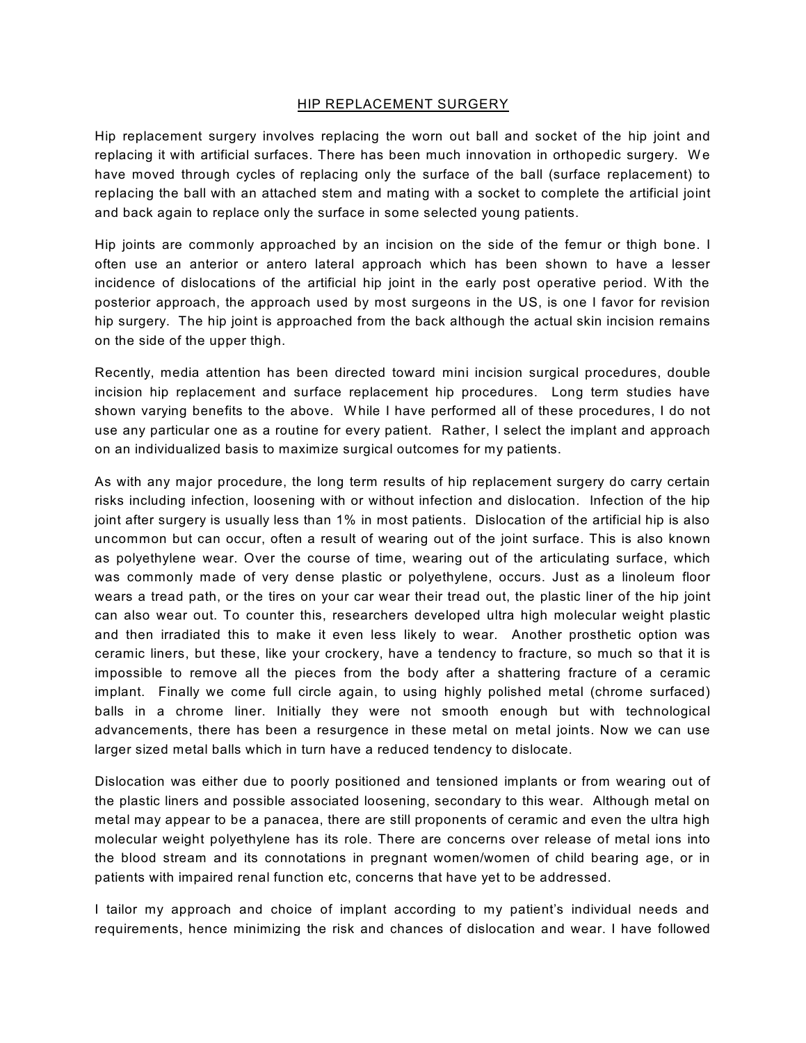## HIP REPLACEMENT SURGERY

Hip replacement surgery involves replacing the worn out ball and socket of the hip joint and replacing it with artificial surfaces. There has been much innovation in orthopedic surgery. We have moved through cycles of replacing only the surface of the ball (surface replacement) to replacing the ball with an attached stem and mating with a socket to complete the artificial joint and back again to replace only the surface in some selected young patients.

Hip joints are commonly approached by an incision on the side of the femur or thigh bone. I often use an anterior or antero lateral approach which has been shown to have a lesser incidence of dislocations of the artificial hip joint in the early post operative period. With the posterior approach, the approach used by most surgeons in the US, is one I favor for revision hip surgery. The hip joint is approached from the back although the actual skin incision remains on the side of the upper thigh.

Recently, media attention has been directed toward mini incision surgical procedures, double incision hip replacement and surface replacement hip procedures. Long term studies have shown varying benefits to the above. While I have performed all of these procedures, I do not use any particular one as a routine for every patient. Rather, I select the implant and approach on an individualized basis to maximize surgical outcomes for my patients.

As with any major procedure, the long term results of hip replacement surgery do carry certain risks including infection, loosening with or without infection and dislocation. Infection of the hip joint after surgery is usually less than 1% in most patients. Dislocation of the artificial hip is also uncommon but can occur, often a result of wearing out of the joint surface. This is also known as polyethylene wear. Over the course of time, wearing out of the articulating surface, which was commonly made of very dense plastic or polyethylene, occurs. Just as a linoleum floor wears a tread path, or the tires on your car wear their tread out, the plastic liner of the hip joint can also wear out. To counter this, researchers developed ultra high molecular weight plastic and then irradiated this to make it even less likely to wear. Another prosthetic option was ceramic liners, but these, like your crockery, have a tendency to fracture, so much so that it is impossible to remove all the pieces from the body after a shattering fracture of a ceramic implant. Finally we come full circle again, to using highly polished metal (chrome surfaced) balls in a chrome liner. Initially they were not smooth enough but with technological advancements, there has been a resurgence in these metal on metal joints. Now we can use larger sized metal balls which in turn have a reduced tendency to dislocate.

Dislocation was either due to poorly positioned and tensioned implants or from wearing out of the plastic liners and possible associated loosening, secondary to this wear. Although metal on metal may appear to be a panacea, there are still proponents of ceramic and even the ultra high molecular weight polyethylene has its role. There are concerns over release of metal ions into the blood stream and its connotations in pregnant women/women of child bearing age, or in patients with impaired renal function etc, concerns that have yet to be addressed.

I tailor my approach and choice of implant according to my patient's individual needs and requirements, hence minimizing the risk and chances of dislocation and wear. I have followed